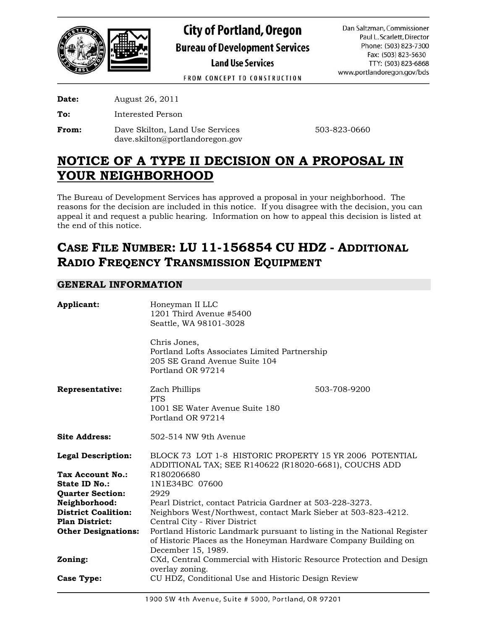

**City of Portland, Oregon Bureau of Development Services Land Use Services** 

Dan Saltzman, Commissioner Paul L. Scarlett, Director Phone: (503) 823-7300 Fax: (503) 823-5630 TTY: (503) 823-6868 www.portlandoregon.gov/bds

FROM CONCEPT TO CONSTRUCTION

**Date:** August 26, 2011

**To:** Interested Person

**From:** Dave Skilton, Land Use Services 503-823-0660 dave.skilton@portlandoregon.gov

# **NOTICE OF A TYPE II DECISION ON A PROPOSAL IN YOUR NEIGHBORHOOD**

The Bureau of Development Services has approved a proposal in your neighborhood. The reasons for the decision are included in this notice. If you disagree with the decision, you can appeal it and request a public hearing. Information on how to appeal this decision is listed at the end of this notice.

# **CASE FILE NUMBER: LU 11-156854 CU HDZ - ADDITIONAL RADIO FREQENCY TRANSMISSION EQUIPMENT**

# **GENERAL INFORMATION**

| Applicant:                                                                                       | Honeyman II LLC<br>1201 Third Avenue #5400<br>Seattle, WA 98101-3028<br>Chris Jones,<br>Portland Lofts Associates Limited Partnership<br>205 SE Grand Avenue Suite 104<br>Portland OR 97214 |              |  |  |
|--------------------------------------------------------------------------------------------------|---------------------------------------------------------------------------------------------------------------------------------------------------------------------------------------------|--------------|--|--|
| <b>Representative:</b>                                                                           | Zach Phillips<br><b>PTS</b><br>1001 SE Water Avenue Suite 180<br>Portland OR 97214                                                                                                          | 503-708-9200 |  |  |
| <b>Site Address:</b>                                                                             | 502-514 NW 9th Avenue                                                                                                                                                                       |              |  |  |
| <b>Legal Description:</b><br>Tax Account No.:<br><b>State ID No.:</b><br><b>Quarter Section:</b> | BLOCK 73 LOT 1-8 HISTORIC PROPERTY 15 YR 2006 POTENTIAL<br>ADDITIONAL TAX; SEE R140622 (R18020-6681), COUCHS ADD<br>R180206680<br>1N1E34BC 07600<br>2929                                    |              |  |  |
| Neighborhood:                                                                                    | Pearl District, contact Patricia Gardner at 503-228-3273.                                                                                                                                   |              |  |  |
| <b>District Coalition:</b>                                                                       | Neighbors West/Northwest, contact Mark Sieber at 503-823-4212.                                                                                                                              |              |  |  |
| <b>Plan District:</b>                                                                            | Central City - River District                                                                                                                                                               |              |  |  |
| <b>Other Designations:</b>                                                                       | Portland Historic Landmark pursuant to listing in the National Register<br>of Historic Places as the Honeyman Hardware Company Building on<br>December 15, 1989.                            |              |  |  |
| Zoning:                                                                                          | CXd, Central Commercial with Historic Resource Protection and Design<br>overlay zoning.                                                                                                     |              |  |  |
| <b>Case Type:</b>                                                                                | CU HDZ, Conditional Use and Historic Design Review                                                                                                                                          |              |  |  |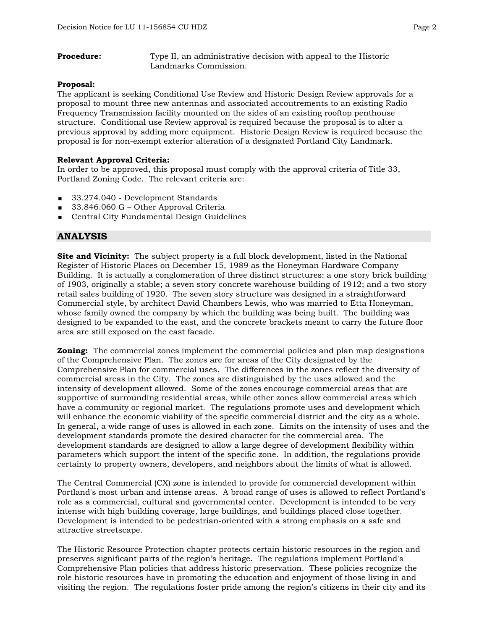**Procedure:** Type II, an administrative decision with appeal to the Historic Landmarks Commission.

#### **Proposal:**

The applicant is seeking Conditional Use Review and Historic Design Review approvals for a proposal to mount three new antennas and associated accoutrements to an existing Radio Frequency Transmission facility mounted on the sides of an existing rooftop penthouse structure. Conditional use Review approval is required because the proposal is to alter a previous approval by adding more equipment. Historic Design Review is required because the proposal is for non-exempt exterior alteration of a designated Portland City Landmark.

#### **Relevant Approval Criteria:**

In order to be approved, this proposal must comply with the approval criteria of Title 33, Portland Zoning Code. The relevant criteria are:

- 33.274.040 Development Standards
- 33.846.060 G Other Approval Criteria
- **Central City Fundamental Design Guidelines**

### **ANALYSIS**

**Site and Vicinity:** The subject property is a full block development, listed in the National Register of Historic Places on December 15, 1989 as the Honeyman Hardware Company Building. It is actually a conglomeration of three distinct structures: a one story brick building of 1903, originally a stable; a seven story concrete warehouse building of 1912; and a two story retail sales building of 1920. The seven story structure was designed in a straightforward Commercial style, by architect David Chambers Lewis, who was married to Etta Honeyman, whose family owned the company by which the building was being built. The building was designed to be expanded to the east, and the concrete brackets meant to carry the future floor area are still exposed on the east facade.

**Zoning:** The commercial zones implement the commercial policies and plan map designations of the Comprehensive Plan. The zones are for areas of the City designated by the Comprehensive Plan for commercial uses. The differences in the zones reflect the diversity of commercial areas in the City. The zones are distinguished by the uses allowed and the intensity of development allowed. Some of the zones encourage commercial areas that are supportive of surrounding residential areas, while other zones allow commercial areas which have a community or regional market. The regulations promote uses and development which will enhance the economic viability of the specific commercial district and the city as a whole. In general, a wide range of uses is allowed in each zone. Limits on the intensity of uses and the development standards promote the desired character for the commercial area. The development standards are designed to allow a large degree of development flexibility within parameters which support the intent of the specific zone. In addition, the regulations provide certainty to property owners, developers, and neighbors about the limits of what is allowed.

The Central Commercial (CX) zone is intended to provide for commercial development within Portland's most urban and intense areas. A broad range of uses is allowed to reflect Portland's role as a commercial, cultural and governmental center. Development is intended to be very intense with high building coverage, large buildings, and buildings placed close together. Development is intended to be pedestrian-oriented with a strong emphasis on a safe and attractive streetscape.

The Historic Resource Protection chapter protects certain historic resources in the region and preserves significant parts of the region's heritage. The regulations implement Portland's Comprehensive Plan policies that address historic preservation. These policies recognize the role historic resources have in promoting the education and enjoyment of those living in and visiting the region. The regulations foster pride among the region's citizens in their city and its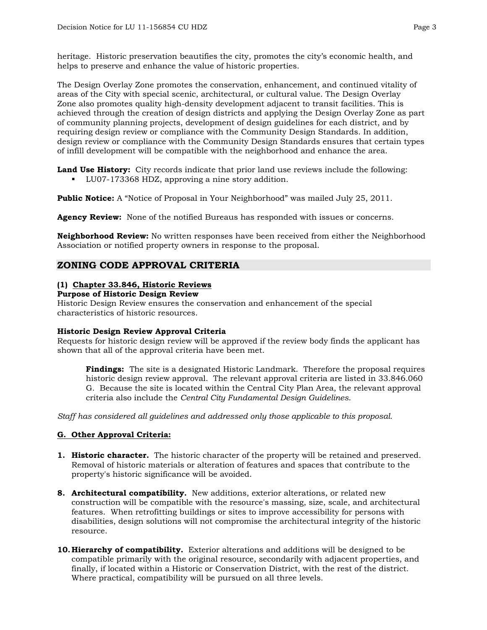heritage. Historic preservation beautifies the city, promotes the city's economic health, and helps to preserve and enhance the value of historic properties.

The Design Overlay Zone promotes the conservation, enhancement, and continued vitality of areas of the City with special scenic, architectural, or cultural value. The Design Overlay Zone also promotes quality high-density development adjacent to transit facilities. This is achieved through the creation of design districts and applying the Design Overlay Zone as part of community planning projects, development of design guidelines for each district, and by requiring design review or compliance with the Community Design Standards. In addition, design review or compliance with the Community Design Standards ensures that certain types of infill development will be compatible with the neighborhood and enhance the area.

**Land Use History:** City records indicate that prior land use reviews include the following:

LU07-173368 HDZ, approving a nine story addition.

**Public Notice:** A "Notice of Proposal in Your Neighborhood" was mailed July 25, 2011.

**Agency Review:** None of the notified Bureaus has responded with issues or concerns.

**Neighborhood Review:** No written responses have been received from either the Neighborhood Association or notified property owners in response to the proposal.

# **ZONING CODE APPROVAL CRITERIA**

# **(1) Chapter 33.846, Historic Reviews**

**Purpose of Historic Design Review** 

Historic Design Review ensures the conservation and enhancement of the special characteristics of historic resources.

#### **Historic Design Review Approval Criteria**

Requests for historic design review will be approved if the review body finds the applicant has shown that all of the approval criteria have been met.

**Findings:** The site is a designated Historic Landmark. Therefore the proposal requires historic design review approval. The relevant approval criteria are listed in 33.846.060 G. Because the site is located within the Central City Plan Area, the relevant approval criteria also include the *Central City Fundamental Design Guidelines*.

*Staff has considered all guidelines and addressed only those applicable to this proposal.* 

#### **G. Other Approval Criteria:**

- **1. Historic character.** The historic character of the property will be retained and preserved. Removal of historic materials or alteration of features and spaces that contribute to the property's historic significance will be avoided.
- **8. Architectural compatibility.** New additions, exterior alterations, or related new construction will be compatible with the resource's massing, size, scale, and architectural features. When retrofitting buildings or sites to improve accessibility for persons with disabilities, design solutions will not compromise the architectural integrity of the historic resource.
- **10. Hierarchy of compatibility.** Exterior alterations and additions will be designed to be compatible primarily with the original resource, secondarily with adjacent properties, and finally, if located within a Historic or Conservation District, with the rest of the district. Where practical, compatibility will be pursued on all three levels.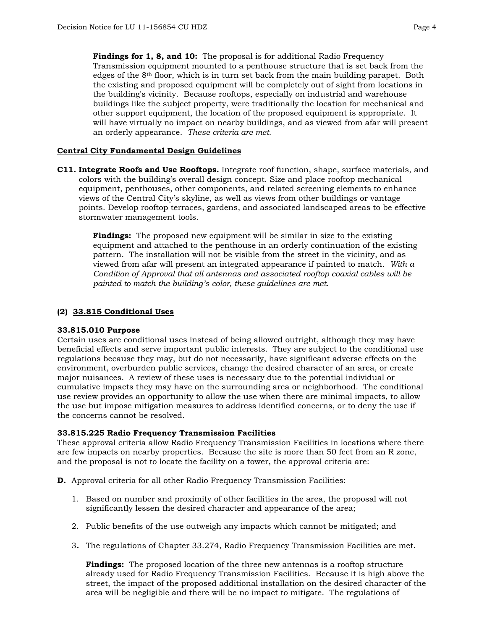Findings for 1, 8, and 10: The proposal is for additional Radio Frequency Transmission equipment mounted to a penthouse structure that is set back from the edges of the  $8<sup>th</sup>$  floor, which is in turn set back from the main building parapet. Both the existing and proposed equipment will be completely out of sight from locations in the building's vicinity. Because rooftops, especially on industrial and warehouse buildings like the subject property, were traditionally the location for mechanical and other support equipment, the location of the proposed equipment is appropriate. It will have virtually no impact on nearby buildings, and as viewed from afar will present an orderly appearance. *These criteria are met.* 

#### **Central City Fundamental Design Guidelines**

**C11. Integrate Roofs and Use Rooftops.** Integrate roof function, shape, surface materials, and colors with the building's overall design concept. Size and place rooftop mechanical equipment, penthouses, other components, and related screening elements to enhance views of the Central City's skyline, as well as views from other buildings or vantage points. Develop rooftop terraces, gardens, and associated landscaped areas to be effective stormwater management tools.

**Findings:** The proposed new equipment will be similar in size to the existing equipment and attached to the penthouse in an orderly continuation of the existing pattern. The installation will not be visible from the street in the vicinity, and as viewed from afar will present an integrated appearance if painted to match. *With a Condition of Approval that all antennas and associated rooftop coaxial cables will be painted to match the building's color, these guidelines are met.* 

#### **(2) 33.815 Conditional Uses**

#### **33.815.010 Purpose**

Certain uses are conditional uses instead of being allowed outright, although they may have beneficial effects and serve important public interests. They are subject to the conditional use regulations because they may, but do not necessarily, have significant adverse effects on the environment, overburden public services, change the desired character of an area, or create major nuisances. A review of these uses is necessary due to the potential individual or cumulative impacts they may have on the surrounding area or neighborhood. The conditional use review provides an opportunity to allow the use when there are minimal impacts, to allow the use but impose mitigation measures to address identified concerns, or to deny the use if the concerns cannot be resolved.

#### **33.815.225 Radio Frequency Transmission Facilities**

These approval criteria allow Radio Frequency Transmission Facilities in locations where there are few impacts on nearby properties. Because the site is more than 50 feet from an R zone, and the proposal is not to locate the facility on a tower, the approval criteria are:

- **D.** Approval criteria for all other Radio Frequency Transmission Facilities:
	- 1. Based on number and proximity of other facilities in the area, the proposal will not significantly lessen the desired character and appearance of the area;
	- 2. Public benefits of the use outweigh any impacts which cannot be mitigated; and
	- 3**.** The regulations of Chapter 33.274, Radio Frequency Transmission Facilities are met.

**Findings:** The proposed location of the three new antennas is a rooftop structure already used for Radio Frequency Transmission Facilities. Because it is high above the street, the impact of the proposed additional installation on the desired character of the area will be negligible and there will be no impact to mitigate. The regulations of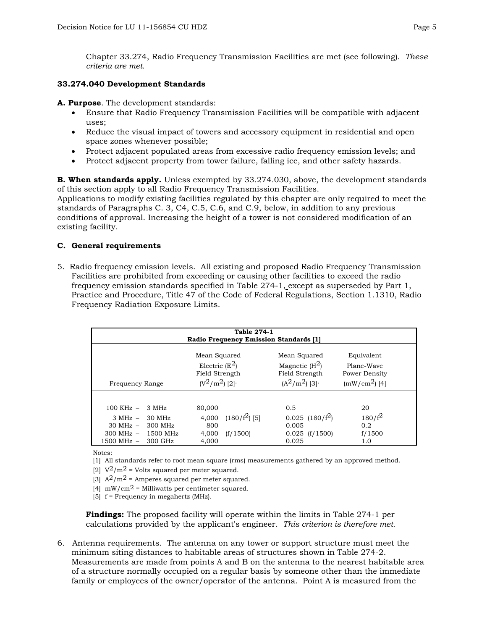Chapter 33.274, Radio Frequency Transmission Facilities are met (see following). *These criteria are met.*

#### **33.274.040 Development Standards**

**A. Purpose**. The development standards:

- Ensure that Radio Frequency Transmission Facilities will be compatible with adjacent uses;
- Reduce the visual impact of towers and accessory equipment in residential and open space zones whenever possible;
- Protect adjacent populated areas from excessive radio frequency emission levels; and
- Protect adjacent property from tower failure, falling ice, and other safety hazards.

**B. When standards apply.** Unless exempted by 33.274.030, above, the development standards of this section apply to all Radio Frequency Transmission Facilities.

Applications to modify existing facilities regulated by this chapter are only required to meet the standards of Paragraphs C. 3, C4, C.5, C.6, and C.9, below, in addition to any previous conditions of approval. Increasing the height of a tower is not considered modification of an existing facility.

#### **C. General requirements**

5. Radio frequency emission levels. All existing and proposed Radio Frequency Transmission Facilities are prohibited from exceeding or causing other facilities to exceed the radio frequency emission standards specified in Table 274-1, except as superseded by Part 1, Practice and Procedure, Title 47 of the Code of Federal Regulations, Section 1.1310, Radio Frequency Radiation Exposure Limits.

| Table 274-1<br><b>Radio Frequency Emission Standards [1]</b>                  |                                                   |                                                                       |                             |                                                                                   |                                                             |
|-------------------------------------------------------------------------------|---------------------------------------------------|-----------------------------------------------------------------------|-----------------------------|-----------------------------------------------------------------------------------|-------------------------------------------------------------|
| Frequency Range                                                               |                                                   | Mean Squared<br>Electric $(E^2)$<br>Field Strength<br>$(V^2/m^2)$ [2] |                             | Mean Squared<br>Magnetic $(H^2)$<br>Field Strength<br>$(A^{2}/m^{2})$ [3] $\cdot$ | Equivalent<br>Plane-Waye<br>Power Density<br>$(mW/cm2)$ [4] |
| $100 \text{ KHz} -$<br>$3 MHz -$<br>$30 MHz -$<br>$300$ MHz $-$<br>1500 MHz - | 3 MHz<br>30 MHz<br>300 MHz<br>1500 MHz<br>300 GHz | 80,000<br>4.000<br>800<br>4,000<br>4.000                              | $(180/f^2)$ [5]<br>(f/1500) | 0.5<br>$0.025$ (180/f <sup>2</sup> )<br>0.005<br>$0.025$ (f/1500)<br>0.025        | 20<br>$180/f^2$<br>0.2<br>f/1500<br>1.0                     |

Notes:

[1] All standards refer to root mean square (rms) measurements gathered by an approved method.

[2]  $\mathrm{V}^2/\mathrm{m}^2$  = Volts squared per meter squared.

- [3]  $A^2/m^2$  = Amperes squared per meter squared.
- [4]  $mW/cm^2$  = Milliwatts per centimeter squared.
- [5] f = Frequency in megahertz (MHz).

**Findings:** The proposed facility will operate within the limits in Table 274-1 per calculations provided by the applicant's engineer. *This criterion is therefore met.* 

6. Antenna requirements. The antenna on any tower or support structure must meet the minimum siting distances to habitable areas of structures shown in Table 274-2. Measurements are made from points A and B on the antenna to the nearest habitable area of a structure normally occupied on a regular basis by someone other than the immediate family or employees of the owner/operator of the antenna. Point A is measured from the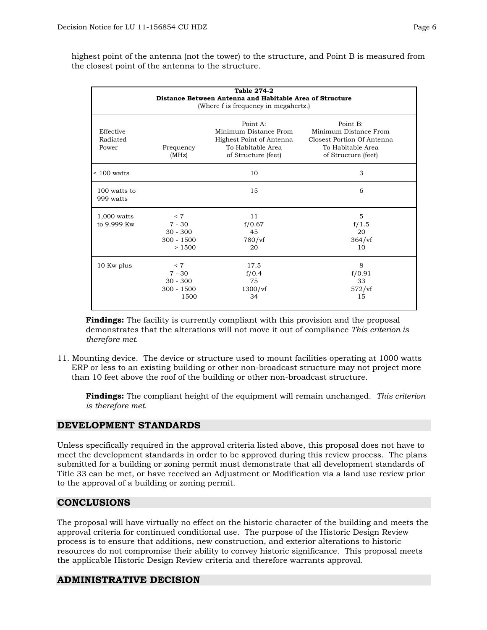highest point of the antenna (not the tower) to the structure, and Point B is measured from the closest point of the antenna to the structure.

| <b>Table 274-2</b><br>Distance Between Antenna and Habitable Area of Structure<br>(Where f is frequency in megahertz.) |                                                        |                                                                                                           |                                                                                                             |  |  |
|------------------------------------------------------------------------------------------------------------------------|--------------------------------------------------------|-----------------------------------------------------------------------------------------------------------|-------------------------------------------------------------------------------------------------------------|--|--|
| Effective<br>Radiated<br>Power                                                                                         | Frequency<br>(MHz)                                     | Point A:<br>Minimum Distance From<br>Highest Point of Antenna<br>To Habitable Area<br>of Structure (feet) | Point B:<br>Minimum Distance From<br>Closest Portion Of Antenna<br>To Habitable Area<br>of Structure (feet) |  |  |
| $< 100$ watts                                                                                                          |                                                        | 10                                                                                                        | 3                                                                                                           |  |  |
| 100 watts to<br>999 watts                                                                                              |                                                        | 15                                                                                                        | 6                                                                                                           |  |  |
| 1,000 watts<br>to 9.999 Kw                                                                                             | < 7<br>$7 - 30$<br>$30 - 300$<br>$300 - 1500$<br>>1500 | 11<br>f/0.67<br>45<br>$780/\mathrm{vf}$<br>20                                                             | 5<br>f/1.5<br>20<br>364/vf<br>10                                                                            |  |  |
| 10 Kw plus                                                                                                             | < 7<br>$7 - 30$<br>$30 - 300$<br>$300 - 1500$<br>1500  | 17.5<br>f/0.4<br>75<br>$1300/\mathrm{vf}$<br>34                                                           | 8<br>f/0.91<br>33<br>$572/\mathrm{vf}$<br>15                                                                |  |  |

**Findings:** The facility is currently compliant with this provision and the proposal demonstrates that the alterations will not move it out of compliance *This criterion is therefore met.*

11. Mounting device. The device or structure used to mount facilities operating at 1000 watts ERP or less to an existing building or other non-broadcast structure may not project more than 10 feet above the roof of the building or other non-broadcast structure.

**Findings:** The compliant height of the equipment will remain unchanged. *This criterion is therefore met.* 

## **DEVELOPMENT STANDARDS**

Unless specifically required in the approval criteria listed above, this proposal does not have to meet the development standards in order to be approved during this review process. The plans submitted for a building or zoning permit must demonstrate that all development standards of Title 33 can be met, or have received an Adjustment or Modification via a land use review prior to the approval of a building or zoning permit.

## **CONCLUSIONS**

The proposal will have virtually no effect on the historic character of the building and meets the approval criteria for continued conditional use. The purpose of the Historic Design Review process is to ensure that additions, new construction, and exterior alterations to historic resources do not compromise their ability to convey historic significance. This proposal meets the applicable Historic Design Review criteria and therefore warrants approval.

# **ADMINISTRATIVE DECISION**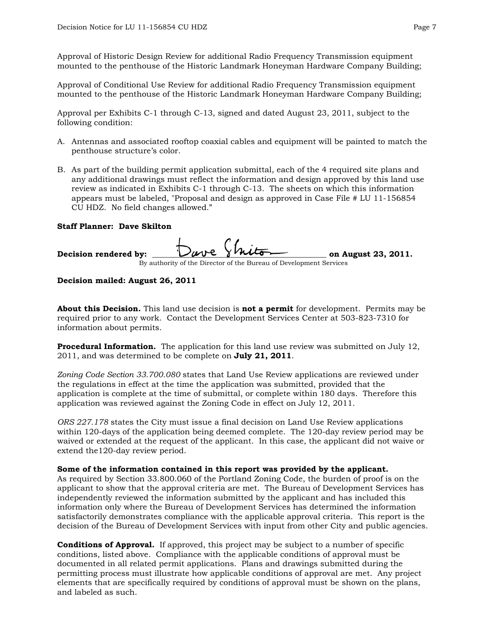Approval of Historic Design Review for additional Radio Frequency Transmission equipment mounted to the penthouse of the Historic Landmark Honeyman Hardware Company Building;

Approval of Conditional Use Review for additional Radio Frequency Transmission equipment mounted to the penthouse of the Historic Landmark Honeyman Hardware Company Building;

Approval per Exhibits C-1 through C-13, signed and dated August 23, 2011, subject to the following condition:

- A. Antennas and associated rooftop coaxial cables and equipment will be painted to match the penthouse structure's color.
- B. As part of the building permit application submittal, each of the 4 required site plans and any additional drawings must reflect the information and design approved by this land use review as indicated in Exhibits C-1 through C-13. The sheets on which this information appears must be labeled, "Proposal and design as approved in Case File # LU 11-156854 CU HDZ. No field changes allowed."

#### **Staff Planner: Dave Skilton**

| Decision rendered by:                                              | Dave Shiton | on August 23, 2011. |  |  |  |
|--------------------------------------------------------------------|-------------|---------------------|--|--|--|
| By authority of the Director of the Bureau of Development Services |             |                     |  |  |  |

#### **Decision mailed: August 26, 2011**

**About this Decision.** This land use decision is **not a permit** for development. Permits may be required prior to any work. Contact the Development Services Center at 503-823-7310 for information about permits.

**Procedural Information.** The application for this land use review was submitted on July 12, 2011, and was determined to be complete on **July 21, 2011**.

*Zoning Code Section 33.700.080* states that Land Use Review applications are reviewed under the regulations in effect at the time the application was submitted, provided that the application is complete at the time of submittal, or complete within 180 days. Therefore this application was reviewed against the Zoning Code in effect on July 12, 2011.

*ORS 227.178* states the City must issue a final decision on Land Use Review applications within 120-days of the application being deemed complete. The 120-day review period may be waived or extended at the request of the applicant. In this case, the applicant did not waive or extend the120-day review period.

#### **Some of the information contained in this report was provided by the applicant.**

As required by Section 33.800.060 of the Portland Zoning Code, the burden of proof is on the applicant to show that the approval criteria are met. The Bureau of Development Services has independently reviewed the information submitted by the applicant and has included this information only where the Bureau of Development Services has determined the information satisfactorily demonstrates compliance with the applicable approval criteria. This report is the decision of the Bureau of Development Services with input from other City and public agencies.

**Conditions of Approval.** If approved, this project may be subject to a number of specific conditions, listed above. Compliance with the applicable conditions of approval must be documented in all related permit applications. Plans and drawings submitted during the permitting process must illustrate how applicable conditions of approval are met. Any project elements that are specifically required by conditions of approval must be shown on the plans, and labeled as such.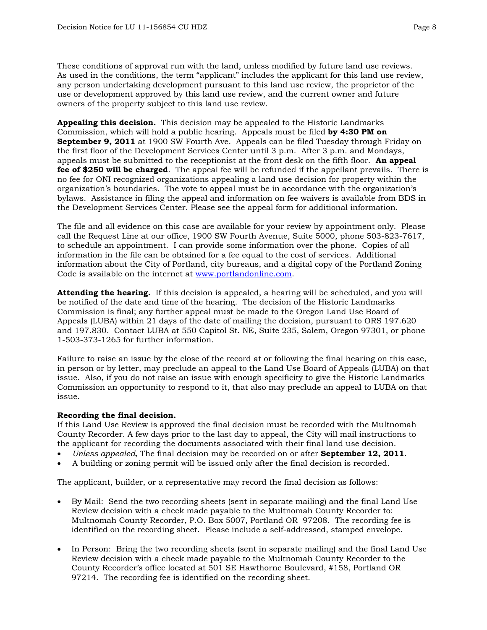These conditions of approval run with the land, unless modified by future land use reviews. As used in the conditions, the term "applicant" includes the applicant for this land use review, any person undertaking development pursuant to this land use review, the proprietor of the use or development approved by this land use review, and the current owner and future owners of the property subject to this land use review.

**Appealing this decision.** This decision may be appealed to the Historic Landmarks Commission, which will hold a public hearing. Appeals must be filed **by 4:30 PM on September 9, 2011** at 1900 SW Fourth Ave. Appeals can be filed Tuesday through Friday on the first floor of the Development Services Center until 3 p.m. After 3 p.m. and Mondays, appeals must be submitted to the receptionist at the front desk on the fifth floor. **An appeal fee of \$250 will be charged**. The appeal fee will be refunded if the appellant prevails. There is no fee for ONI recognized organizations appealing a land use decision for property within the organization's boundaries. The vote to appeal must be in accordance with the organization's bylaws. Assistance in filing the appeal and information on fee waivers is available from BDS in the Development Services Center. Please see the appeal form for additional information.

The file and all evidence on this case are available for your review by appointment only. Please call the Request Line at our office, 1900 SW Fourth Avenue, Suite 5000, phone 503-823-7617, to schedule an appointment. I can provide some information over the phone. Copies of all information in the file can be obtained for a fee equal to the cost of services. Additional information about the City of Portland, city bureaus, and a digital copy of the Portland Zoning Code is available on the internet at [www.portlandonline.com](http://www.ci.portland.or.us/).

**Attending the hearing.** If this decision is appealed, a hearing will be scheduled, and you will be notified of the date and time of the hearing. The decision of the Historic Landmarks Commission is final; any further appeal must be made to the Oregon Land Use Board of Appeals (LUBA) within 21 days of the date of mailing the decision, pursuant to ORS 197.620 and 197.830. Contact LUBA at 550 Capitol St. NE, Suite 235, Salem, Oregon 97301, or phone 1-503-373-1265 for further information.

Failure to raise an issue by the close of the record at or following the final hearing on this case, in person or by letter, may preclude an appeal to the Land Use Board of Appeals (LUBA) on that issue. Also, if you do not raise an issue with enough specificity to give the Historic Landmarks Commission an opportunity to respond to it, that also may preclude an appeal to LUBA on that issue.

#### **Recording the final decision.**

If this Land Use Review is approved the final decision must be recorded with the Multnomah County Recorder. A few days prior to the last day to appeal, the City will mail instructions to the applicant for recording the documents associated with their final land use decision.

- *Unless appealed,* The final decision may be recorded on or after **September 12, 2011**.
- A building or zoning permit will be issued only after the final decision is recorded.

The applicant, builder, or a representative may record the final decision as follows:

- By Mail: Send the two recording sheets (sent in separate mailing) and the final Land Use Review decision with a check made payable to the Multnomah County Recorder to: Multnomah County Recorder, P.O. Box 5007, Portland OR 97208. The recording fee is identified on the recording sheet. Please include a self-addressed, stamped envelope.
- In Person: Bring the two recording sheets (sent in separate mailing) and the final Land Use Review decision with a check made payable to the Multnomah County Recorder to the County Recorder's office located at 501 SE Hawthorne Boulevard, #158, Portland OR 97214. The recording fee is identified on the recording sheet.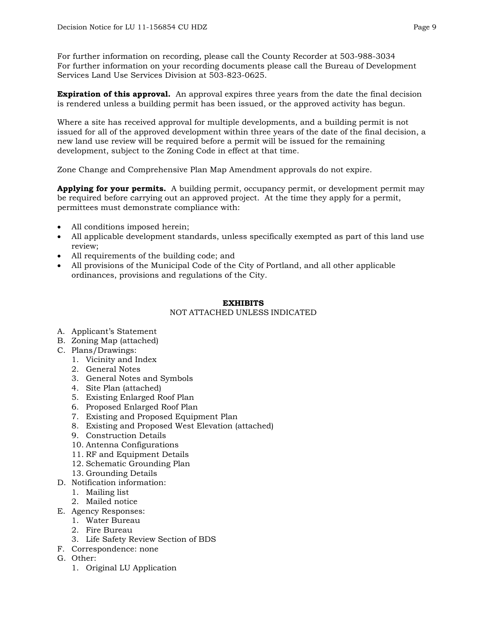For further information on recording, please call the County Recorder at 503-988-3034 For further information on your recording documents please call the Bureau of Development Services Land Use Services Division at 503-823-0625.

**Expiration of this approval.** An approval expires three years from the date the final decision is rendered unless a building permit has been issued, or the approved activity has begun.

Where a site has received approval for multiple developments, and a building permit is not issued for all of the approved development within three years of the date of the final decision, a new land use review will be required before a permit will be issued for the remaining development, subject to the Zoning Code in effect at that time.

Zone Change and Comprehensive Plan Map Amendment approvals do not expire.

**Applying for your permits.** A building permit, occupancy permit, or development permit may be required before carrying out an approved project. At the time they apply for a permit, permittees must demonstrate compliance with:

- All conditions imposed herein;
- All applicable development standards, unless specifically exempted as part of this land use review;
- All requirements of the building code; and
- All provisions of the Municipal Code of the City of Portland, and all other applicable ordinances, provisions and regulations of the City.

#### **EXHIBITS**

#### NOT ATTACHED UNLESS INDICATED

- A. Applicant's Statement
- B. Zoning Map (attached)
- C. Plans/Drawings:
	- 1. Vicinity and Index
	- 2. General Notes
	- 3. General Notes and Symbols
	- 4. Site Plan (attached)
	- 5. Existing Enlarged Roof Plan
	- 6. Proposed Enlarged Roof Plan
	- 7. Existing and Proposed Equipment Plan
	- 8. Existing and Proposed West Elevation (attached)
	- 9. Construction Details
	- 10. Antenna Configurations
	- 11. RF and Equipment Details
	- 12. Schematic Grounding Plan
	- 13. Grounding Details
- D. Notification information:
	- 1. Mailing list
	- 2. Mailed notice
- E. Agency Responses:
	- 1. Water Bureau
	- 2. Fire Bureau
	- 3. Life Safety Review Section of BDS
- F. Correspondence: none
- G. Other:
	- 1. Original LU Application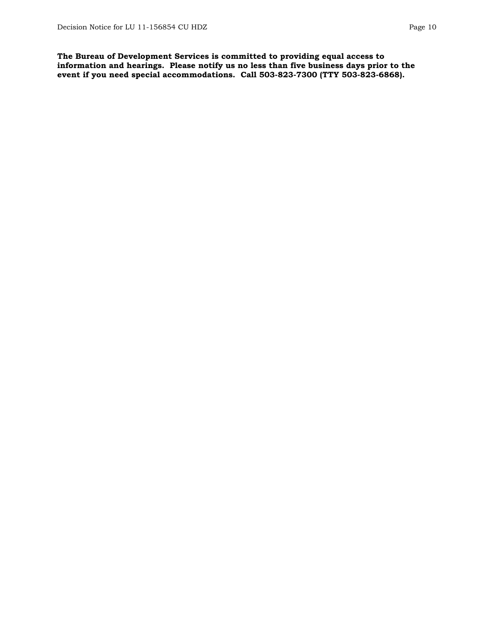**The Bureau of Development Services is committed to providing equal access to information and hearings. Please notify us no less than five business days prior to the event if you need special accommodations. Call 503-823-7300 (TTY 503-823-6868).**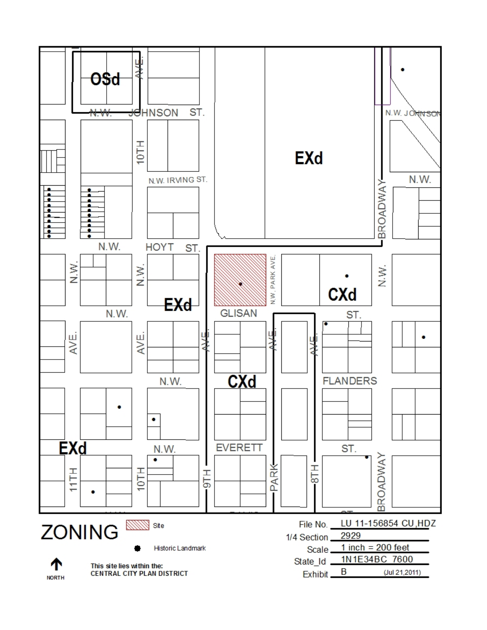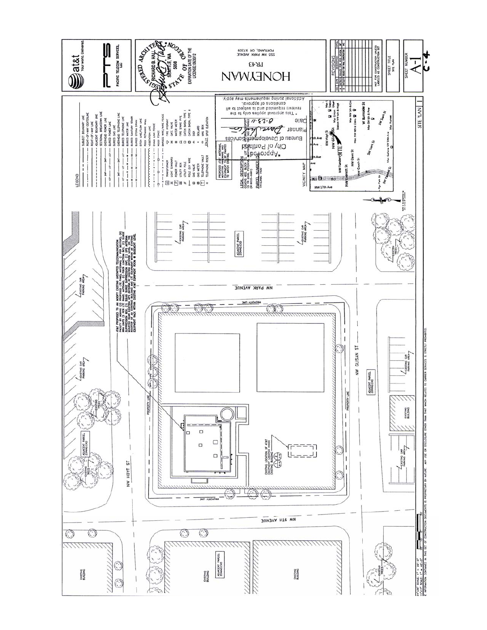